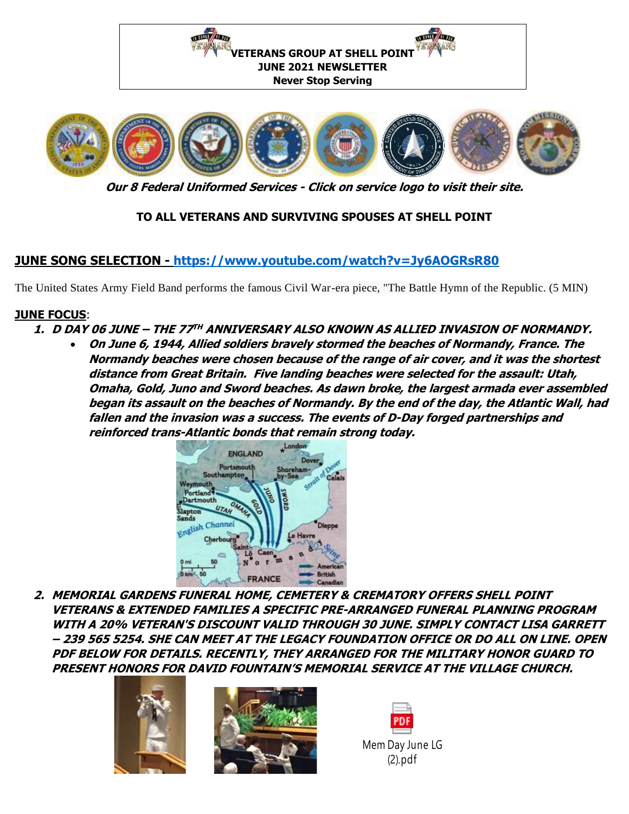

**Our 8 Federal Uniformed Services - Click on service logo to visit their site.**

## **TO ALL VETERANS AND SURVIVING SPOUSES AT SHELL POINT**

# **JUNE SONG SELECTION - <https://www.youtube.com/watch?v=Jy6AOGRsR80>**

The United States Army Field Band performs the famous Civil War-era piece, "The Battle Hymn of the Republic. (5 MIN)

#### **JUNE FOCUS**:

- **1. D DAY 06 JUNE – THE 77 TH ANNIVERSARY ALSO KNOWN AS ALLIED INVASION OF NORMANDY.**
	- **On June 6, 1944, Allied soldiers bravely stormed the beaches of Normandy, France. The Normandy beaches were chosen because of the range of air cover, and it was the shortest distance from Great Britain. Five landing beaches were selected for the assault: Utah, Omaha, Gold, Juno and Sword beaches. As dawn broke, the largest armada ever assembled began its assault on the beaches of Normandy. By the end of the day, the Atlantic Wall, had fallen and the invasion was a success. The events of D-Day forged partnerships and reinforced trans-Atlantic bonds that remain strong today.**



**2. MEMORIAL GARDENS FUNERAL HOME, CEMETERY & CREMATORY OFFERS SHELL POINT VETERANS & EXTENDED FAMILIES A SPECIFIC PRE-ARRANGED FUNERAL PLANNING PROGRAM WITH A 20% VETERAN'S DISCOUNT VALID THROUGH 30 JUNE. SIMPLY CONTACT LISA GARRETT – 239 565 5254. SHE CAN MEET AT THE LEGACY FOUNDATION OFFICE OR DO ALL ON LINE. OPEN PDF BELOW FOR DETAILS. RECENTLY, THEY ARRANGED FOR THE MILITARY HONOR GUARD TO PRESENT HONORS FOR DAVID FOUNTAIN'S MEMORIAL SERVICE AT THE VILLAGE CHURCH.**